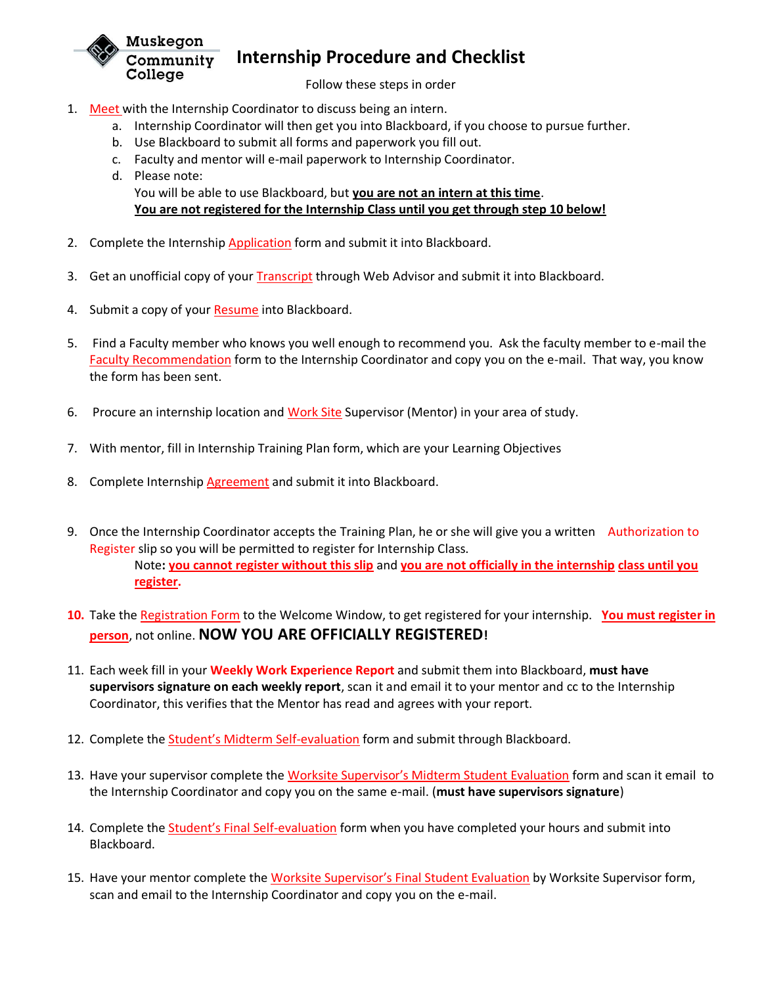

## **Internship Procedure and Checklist**

Follow these steps in order

- 1. Meet with the Internship Coordinator to discuss being an intern.
	- a. Internship Coordinator will then get you into Blackboard, if you choose to pursue further.
	- b. Use Blackboard to submit all forms and paperwork you fill out.
	- c. Faculty and mentor will e-mail paperwork to Internship Coordinator.
	- d. Please note: You will be able to use Blackboard, but **you are not an intern at this time**. **You are not registered for the Internship Class until you get through step 10 below!**
- 2. Complete the Internship Application form and submit it into Blackboard.
- 3. Get an unofficial copy of your **Transcript** through Web Advisor and submit it into Blackboard.
- 4. Submit a copy of your Resume into Blackboard.
- 5. Find a Faculty member who knows you well enough to recommend you. Ask the faculty member to e-mail the Faculty Recommendation form to the Internship Coordinator and copy you on the e-mail. That way, you know the form has been sent.
- 6. Procure an internship location and Work Site Supervisor (Mentor) in your area of study.
- 7. With mentor, fill in Internship Training Plan form, which are your Learning Objectives
- 8. Complete Internship **Agreement** and submit it into Blackboard.
- 9. Once the Internship Coordinator accepts the Training Plan, he or she will give you a written Authorization to Register slip so you will be permitted to register for Internship Class. Note**: you cannot register without this slip** and **you are not officially in the internship class until you register.**
- **10.** Take the Registration Form to the Welcome Window, to get registered for your internship. **You must register in person**, not online. **NOW YOU ARE OFFICIALLY REGISTERED!**
- 11. Each week fill in your **Weekly Work Experience Report** and submit them into Blackboard, **must have supervisors signature on each weekly report**, scan it and email it to your mentor and cc to the Internship Coordinator, this verifies that the Mentor has read and agrees with your report.
- 12. Complete the Student's Midterm Self-evaluation form and submit through Blackboard.
- 13. Have your supervisor complete the Worksite Supervisor's Midterm Student Evaluation form and scan it email to the Internship Coordinator and copy you on the same e-mail. (**must have supervisors signature**)
- 14. Complete the Student's Final Self-evaluation form when you have completed your hours and submit into Blackboard.
- 15. Have your mentor complete the Worksite Supervisor's Final Student Evaluation by Worksite Supervisor form, scan and email to the Internship Coordinator and copy you on the e-mail.